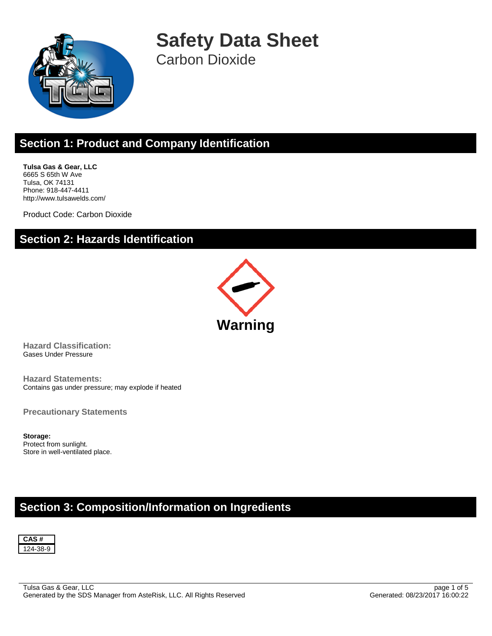

**Safety Data Sheet** Carbon Dioxide

## **Section 1: Product and Company Identification**

**Tulsa Gas & Gear, LLC** 6665 S 65th W Ave Tulsa, OK 74131 Phone: 918-447-4411 http://www.tulsawelds.com/

Product Code: Carbon Dioxide

## **Section 2: Hazards Identification**



**Hazard Classification:** Gases Under Pressure

**Hazard Statements:** Contains gas under pressure; may explode if heated

**Precautionary Statements**

**Storage:** Protect from sunlight. Store in well-ventilated place.

## **Section 3: Composition/Information on Ingredients**

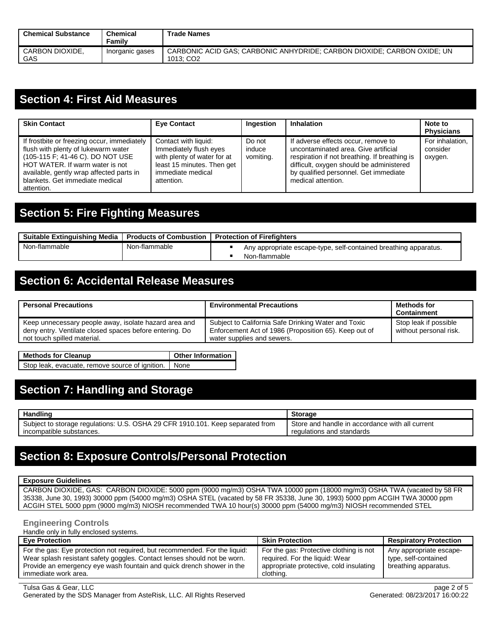| <b>Chemical Substance</b> | <b>Chemical</b><br><b>Family</b> | <b>Trade Names</b>                                                                               |
|---------------------------|----------------------------------|--------------------------------------------------------------------------------------------------|
| CARBON DIOXIDE.<br>GAS    | Inorganic gases                  | CARBONIC ACID GAS: CARBONIC ANHYDRIDE: CARBON DIOXIDE: CARBON OXIDE: UN<br>1013: CO <sub>2</sub> |

### **Section 4: First Aid Measures**

| <b>Skin Contact</b>                                                                                                                                                                                                                                    | <b>Eye Contact</b>                                                                                                                             | Ingestion                     | <b>Inhalation</b>                                                                                                                                                                                                                       | Note to<br><b>Physicians</b>           |
|--------------------------------------------------------------------------------------------------------------------------------------------------------------------------------------------------------------------------------------------------------|------------------------------------------------------------------------------------------------------------------------------------------------|-------------------------------|-----------------------------------------------------------------------------------------------------------------------------------------------------------------------------------------------------------------------------------------|----------------------------------------|
| If frostbite or freezing occur, immediately<br>flush with plenty of lukewarm water<br>(105-115 F; 41-46 C). DO NOT USE<br>HOT WATER. If warm water is not<br>available, gently wrap affected parts in<br>blankets. Get immediate medical<br>attention. | Contact with liquid:<br>Immediately flush eyes<br>with plenty of water for at<br>least 15 minutes. Then get<br>immediate medical<br>attention. | Do not<br>induce<br>vomiting. | If adverse effects occur, remove to<br>uncontaminated area. Give artificial<br>respiration if not breathing. If breathing is<br>difficult, oxygen should be administered<br>by qualified personnel. Get immediate<br>medical attention. | For inhalation.<br>consider<br>oxygen. |

## **Section 5: Fire Fighting Measures**

| Suitable Extinguishing Media   Products of Combustion |               | <b>Protection of Firefighters</b> |                                                                                   |
|-------------------------------------------------------|---------------|-----------------------------------|-----------------------------------------------------------------------------------|
| Non-flammable                                         | Non-flammable |                                   | Any appropriate escape-type, self-contained breathing apparatus.<br>Non-flammable |

## **Section 6: Accidental Release Measures**

| <b>Personal Precautions</b>                                                                                      | <b>Environmental Precautions</b>                                                                             | Methods for<br><b>Containment</b>               |
|------------------------------------------------------------------------------------------------------------------|--------------------------------------------------------------------------------------------------------------|-------------------------------------------------|
| Keep unnecessary people away, isolate hazard area and<br>deny entry. Ventilate closed spaces before entering. Do | Subject to California Safe Drinking Water and Toxic<br>Enforcement Act of 1986 (Proposition 65). Keep out of | Stop leak if possible<br>without personal risk. |
| not touch spilled material.                                                                                      | water supplies and sewers.                                                                                   |                                                 |

**Methods for Cleanup Cleanup Discussed Bullet Other Information** Stop leak, evacuate, remove source of ignition. None

## **Section 7: Handling and Storage**

| Handling                                                                       | <b>Storage</b>                                  |
|--------------------------------------------------------------------------------|-------------------------------------------------|
| Subject to storage regulations: U.S. OSHA 29 CFR 1910.101. Keep separated from | Store and handle in accordance with all current |
| incompatible substances.                                                       | regulations and standards                       |

## **Section 8: Exposure Controls/Personal Protection**

#### **Exposure Guidelines**

CARBON DIOXIDE, GAS: CARBON DIOXIDE: 5000 ppm (9000 mg/m3) OSHA TWA 10000 ppm (18000 mg/m3) OSHA TWA (vacated by 58 FR 35338, June 30, 1993) 30000 ppm (54000 mg/m3) OSHA STEL (vacated by 58 FR 35338, June 30, 1993) 5000 ppm ACGIH TWA 30000 ppm ACGIH STEL 5000 ppm (9000 mg/m3) NIOSH recommended TWA 10 hour(s) 30000 ppm (54000 mg/m3) NIOSH recommended STEL

#### **Engineering Controls**

Handle only in fully enclosed systems.

| <b>Eve Protection</b>                                                                                                                                                                                                                                   | <b>Skin Protection</b>                                                                                                            | <b>Respiratory Protection</b>                                           |
|---------------------------------------------------------------------------------------------------------------------------------------------------------------------------------------------------------------------------------------------------------|-----------------------------------------------------------------------------------------------------------------------------------|-------------------------------------------------------------------------|
| For the gas: Eye protection not required, but recommended. For the liquid:<br>Wear splash resistant safety goggles. Contact lenses should not be worn.<br>Provide an emergency eye wash fountain and quick drench shower in the<br>immediate work area. | For the gas: Protective clothing is not<br>required. For the liquid: Wear<br>appropriate protective, cold insulating<br>clothing. | Any appropriate escape-<br>type, self-contained<br>breathing apparatus. |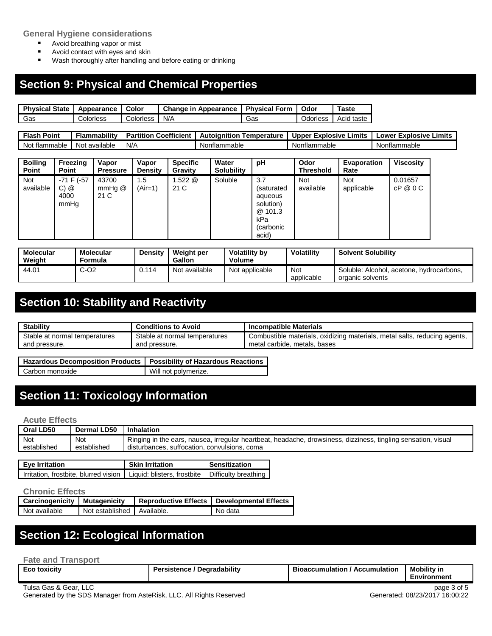#### **General Hygiene considerations**

- **Avoid breathing vapor or mist**
- **Avoid contact with eyes and skin**
- **Wash thoroughly after handling and before eating or drinking**

## **Section 9: Physical and Chemical Properties**

| <b>Physical State</b> | Appearance | Color     | Change in<br>Appearance | <b>Physical Form</b> | Odor     | ⊺aste         |
|-----------------------|------------|-----------|-------------------------|----------------------|----------|---------------|
| Gas                   | Colorless  | Colorless | N/A                     | Gas                  | Odorless | taste<br>Acıd |

| Point<br>--<br>Flast   | .<br><b>Flammabilit</b> y | Coefficient<br>$\sim$ 0 $\times$ 1<br><b>Partition</b> | Autoianition<br>emperature | Limits<br>$-vr$<br>:xplosive<br>Upper | Limits<br>Explosive<br>_ower |
|------------------------|---------------------------|--------------------------------------------------------|----------------------------|---------------------------------------|------------------------------|
| No:<br>mable<br>. tlar | available<br>No.          | N/r                                                    | Nonflammable               | ntlammable<br>Nor                     | Nonflammable                 |

| <b>Boiling</b><br>Point | Freezing<br><b>Point</b>                | Vapor<br><b>Pressure</b> | Vapor<br><b>Density</b> | <b>Specific</b><br>Gravity | Water<br><b>Solubility</b> | рH                                                                                 | Odor<br>Threshold       | Evaporation<br>Rate      | <b>Viscosity</b>    |
|-------------------------|-----------------------------------------|--------------------------|-------------------------|----------------------------|----------------------------|------------------------------------------------------------------------------------|-------------------------|--------------------------|---------------------|
| Not<br>available        | $-71$ F ( $-57$<br>C) @<br>4000<br>mmHq | 43700<br>mmHq@<br>21 C   | 1.5<br>$(Air=1)$        | $1.522 \; @.$<br>21 C      | Soluble                    | 3.7<br>(saturated<br>aqueous<br>solution)<br>@ 101.3<br>kPa<br>(carbonic)<br>acid) | <b>Not</b><br>available | <b>Not</b><br>applicable | 0.01657<br>cP @ 0 C |

| Molecular<br>Weiaht | Molecular<br>Formula | Densitv | Weight per<br>Gallon | <b>Volatility by</b><br>Volume | Volatility        | <b>Solvent Solubility</b>                                    |
|---------------------|----------------------|---------|----------------------|--------------------------------|-------------------|--------------------------------------------------------------|
| 44.01               | C-O2                 | 0.114   | Not available        | Not applicable                 | Not<br>applicable | Soluble: Alcohol, acetone, hydrocarbons,<br>organic solvents |

# **Section 10: Stability and Reactivity**

| <b>Stability</b>              | <b>Conditions to Avoid</b>    | <b>Incompatible Materials</b>                                             |
|-------------------------------|-------------------------------|---------------------------------------------------------------------------|
| Stable at normal temperatures | Stable at normal temperatures | Combustible materials, oxidizing materials, metal salts, reducing agents, |
| and pressure.                 | and pressure.                 | metal carbide, metals, bases                                              |

| Hazardous Decomposition Products   Possibility of Hazardous Reactions |                      |
|-----------------------------------------------------------------------|----------------------|
| Carbon monoxide                                                       | Will not polymerize. |

## **Section 11: Toxicology Information**

#### **Acute Effects**

| Oral LD50   | Dermal LD50 | Inhalation                                                                                                    |
|-------------|-------------|---------------------------------------------------------------------------------------------------------------|
| Not         | Not         | Ringing in the ears, nausea, irregular heartbeat, headache, drowsiness, dizziness, tingling sensation, visual |
| established | established | disturbances, suffocation, convulsions, coma                                                                  |

| <b>Eve Irritation</b>                                                                      | <b>Skin Irritation</b> | Sensitization |
|--------------------------------------------------------------------------------------------|------------------------|---------------|
| Irritation, frostbite, blurred vision   Liquid: blisters, frostbite   Difficulty breathing |                        |               |

#### **Chronic Effects**

| Carcinogenicity   Mutagenicity |                              | Reproductive Effects   Developmental Effects |
|--------------------------------|------------------------------|----------------------------------------------|
| Not available                  | Not established   Available. | No data                                      |

### **Section 12: Ecological Information**

| <b>Fate and Transport</b> |                                    |                                       |                                   |
|---------------------------|------------------------------------|---------------------------------------|-----------------------------------|
| <b>Eco toxicity</b>       | <b>Persistence / Degradability</b> | <b>Bioaccumulation / Accumulation</b> | <b>Mobility in</b><br>Environment |

Tulsa Gas & Gear, LLC page 3 of 5<br>Generated by the SDS Manager from AsteRisk, LLC. All Rights Reserved Generated: 08/23/2017 16:00:22 Generated by the SDS Manager from AsteRisk, LLC. All Rights Reserved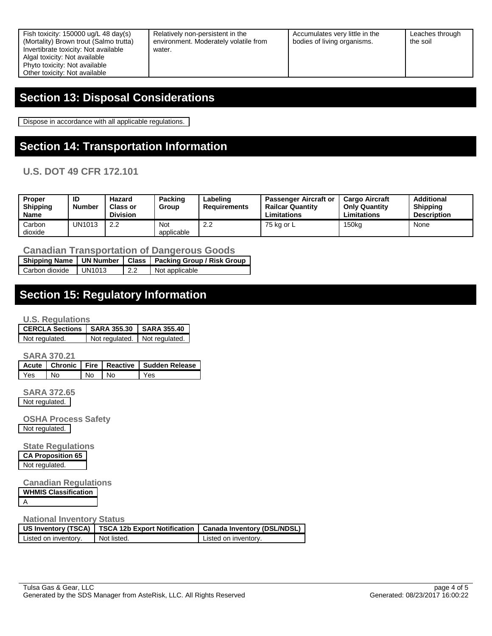Relatively non-persistent in the environment. Moderately volatile from water.

Accumulates very little in the bodies of living organisms.

Leaches through the soil

## **Section 13: Disposal Considerations**

Dispose in accordance with all applicable regulations.

# **Section 14: Transportation Information**

**U.S. DOT 49 CFR 172.101**

| <b>Proper</b><br>Shipping<br><b>Name</b> | ID<br><b>Number</b> | Hazard<br>Class or<br><b>Division</b> | <b>Packing</b><br>Group | ∟abelinɑ<br>Requirements | <b>Passenger Aircraft or</b><br><b>Railcar Quantity</b><br>Limitations | <b>Cargo Aircraft</b><br><b>Only Quantity</b><br>Limitations | Additional<br><b>Shipping</b><br><b>Description</b> |
|------------------------------------------|---------------------|---------------------------------------|-------------------------|--------------------------|------------------------------------------------------------------------|--------------------------------------------------------------|-----------------------------------------------------|
| Carbon<br>dioxide                        | UN1013              | 2.2                                   | Not<br>applicable       | $\epsilon$ . $\epsilon$  | 75 kg or L                                                             | 150 <sub>kg</sub>                                            | None                                                |

**Canadian Transportation of Dangerous Goods**

|                |        |      | Shipping Name   UN Number   Class   Packing Group / Risk Group |
|----------------|--------|------|----------------------------------------------------------------|
| Carbon dioxide | UN1013 | 12.2 | Not applicable                                                 |

## **Section 15: Regulatory Information**

**U.S. Regulations**

| CERCLA Sections   SARA 355.30   SARA 355.40 |                               |  |
|---------------------------------------------|-------------------------------|--|
| Not regulated.                              | Not regulated. Not regulated. |  |

**SARA 370.21**

|     |      |     |      | Acute   Chronic   Fire   Reactive   Sudden Release |
|-----|------|-----|------|----------------------------------------------------|
| Yes | l No | No. | I No | Yes                                                |

**SARA 372.65** Not regulated.

**OSHA Process Safety** Not regulated.

**State Regulations CA Proposition 65** Not regulated.

**Canadian Regulations**

| <b>WHMIS Classification</b> |  |
|-----------------------------|--|
|                             |  |

#### **National Inventory Status**

|                      |             | US Inventory (TSCA)   TSCA 12b Export Notification   Canada Inventory (DSL/NDSL) |  |
|----------------------|-------------|----------------------------------------------------------------------------------|--|
| Listed on inventory. | Not listed. | Listed on inventory.                                                             |  |